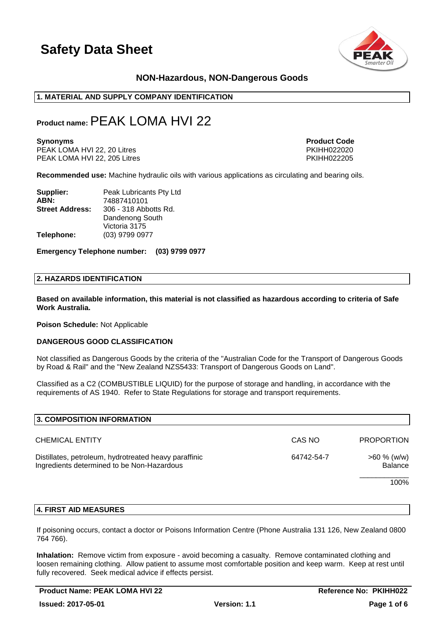

### **NON-Hazardous, NON-Dangerous Goods**

#### **1. MATERIAL AND SUPPLY COMPANY IDENTIFICATION**

### **Product name:**PEAK LOMA HVI 22

PEAK LOMA HVI 22, 20 Litres PKIHH022020 PEAK LOMA HVI 22, 205 Litres

**Synonyms Product Code** 

**Recommended use:** Machine hydraulic oils with various applications as circulating and bearing oils.

| Supplier:              | Peak Lubricants Pty Ltd |
|------------------------|-------------------------|
| ABN:                   | 74887410101             |
| <b>Street Address:</b> | 306 - 318 Abbotts Rd.   |
|                        | Dandenong South         |
|                        | Victoria 3175           |
| Telephone:             | (03) 9799 0977          |

**Emergency Telephone number: (03) 9799 0977**

#### **2. HAZARDS IDENTIFICATION**

**Based on available information, this material is not classified as hazardous according to criteria of Safe Work Australia.**

**Poison Schedule:** Not Applicable

#### **DANGEROUS GOOD CLASSIFICATION**

Not classified as Dangerous Goods by the criteria of the "Australian Code for the Transport of Dangerous Goods by Road & Rail" and the "New Zealand NZS5433: Transport of Dangerous Goods on Land".

Classified as a C2 (COMBUSTIBLE LIQUID) for the purpose of storage and handling, in accordance with the requirements of AS 1940. Refer to State Regulations for storage and transport requirements.

| 3. COMPOSITION INFORMATION                                                                          |            |                           |
|-----------------------------------------------------------------------------------------------------|------------|---------------------------|
| <b>CHEMICAL ENTITY</b>                                                                              | CAS NO     | <b>PROPORTION</b>         |
| Distillates, petroleum, hydrotreated heavy paraffinic<br>Ingredients determined to be Non-Hazardous | 64742-54-7 | $>60 \%$ (w/w)<br>Balance |
|                                                                                                     |            | 100%                      |
|                                                                                                     |            |                           |

#### **4. FIRST AID MEASURES**

If poisoning occurs, contact a doctor or Poisons Information Centre (Phone Australia 131 126, New Zealand 0800 764 766).

**Inhalation:** Remove victim from exposure - avoid becoming a casualty. Remove contaminated clothing and loosen remaining clothing. Allow patient to assume most comfortable position and keep warm. Keep at rest until fully recovered. Seek medical advice if effects persist.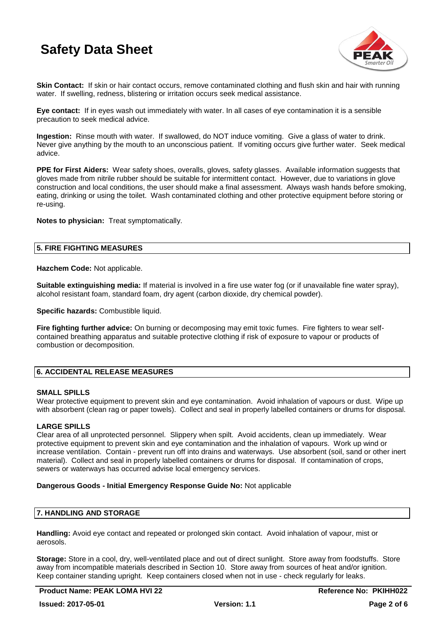

**Skin Contact:** If skin or hair contact occurs, remove contaminated clothing and flush skin and hair with running water. If swelling, redness, blistering or irritation occurs seek medical assistance.

**Eye contact:** If in eyes wash out immediately with water. In all cases of eye contamination it is a sensible precaution to seek medical advice.

**Ingestion:** Rinse mouth with water. If swallowed, do NOT induce vomiting. Give a glass of water to drink. Never give anything by the mouth to an unconscious patient. If vomiting occurs give further water. Seek medical advice.

**PPE for First Aiders:** Wear safety shoes, overalls, gloves, safety glasses. Available information suggests that gloves made from nitrile rubber should be suitable for intermittent contact. However, due to variations in glove construction and local conditions, the user should make a final assessment. Always wash hands before smoking, eating, drinking or using the toilet. Wash contaminated clothing and other protective equipment before storing or re-using.

**Notes to physician:** Treat symptomatically.

#### **5. FIRE FIGHTING MEASURES**

**Hazchem Code:** Not applicable.

**Suitable extinguishing media:** If material is involved in a fire use water fog (or if unavailable fine water spray), alcohol resistant foam, standard foam, dry agent (carbon dioxide, dry chemical powder).

**Specific hazards:** Combustible liquid.

**Fire fighting further advice:** On burning or decomposing may emit toxic fumes. Fire fighters to wear selfcontained breathing apparatus and suitable protective clothing if risk of exposure to vapour or products of combustion or decomposition.

#### **6. ACCIDENTAL RELEASE MEASURES**

#### **SMALL SPILLS**

Wear protective equipment to prevent skin and eye contamination. Avoid inhalation of vapours or dust. Wipe up with absorbent (clean rag or paper towels). Collect and seal in properly labelled containers or drums for disposal.

#### **LARGE SPILLS**

Clear area of all unprotected personnel. Slippery when spilt. Avoid accidents, clean up immediately. Wear protective equipment to prevent skin and eye contamination and the inhalation of vapours. Work up wind or increase ventilation. Contain - prevent run off into drains and waterways. Use absorbent (soil, sand or other inert material). Collect and seal in properly labelled containers or drums for disposal. If contamination of crops, sewers or waterways has occurred advise local emergency services.

#### **Dangerous Goods - Initial Emergency Response Guide No:** Not applicable

#### **7. HANDLING AND STORAGE**

**Handling:** Avoid eye contact and repeated or prolonged skin contact. Avoid inhalation of vapour, mist or aerosols.

**Storage:** Store in a cool, dry, well-ventilated place and out of direct sunlight. Store away from foodstuffs. Store away from incompatible materials described in Section 10. Store away from sources of heat and/or ignition. Keep container standing upright. Keep containers closed when not in use - check regularly for leaks.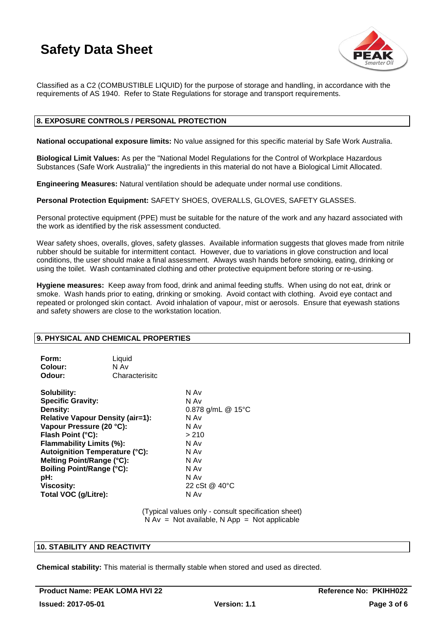

Classified as a C2 (COMBUSTIBLE LIQUID) for the purpose of storage and handling, in accordance with the requirements of AS 1940. Refer to State Regulations for storage and transport requirements.

### **8. EXPOSURE CONTROLS / PERSONAL PROTECTION**

**National occupational exposure limits:** No value assigned for this specific material by Safe Work Australia.

**Biological Limit Values:** As per the "National Model Regulations for the Control of Workplace Hazardous Substances (Safe Work Australia)" the ingredients in this material do not have a Biological Limit Allocated.

**Engineering Measures:** Natural ventilation should be adequate under normal use conditions.

**Personal Protection Equipment:** SAFETY SHOES, OVERALLS, GLOVES, SAFETY GLASSES.

Personal protective equipment (PPE) must be suitable for the nature of the work and any hazard associated with the work as identified by the risk assessment conducted.

Wear safety shoes, overalls, gloves, safety glasses. Available information suggests that gloves made from nitrile rubber should be suitable for intermittent contact. However, due to variations in glove construction and local conditions, the user should make a final assessment. Always wash hands before smoking, eating, drinking or using the toilet. Wash contaminated clothing and other protective equipment before storing or re-using.

**Hygiene measures:** Keep away from food, drink and animal feeding stuffs. When using do not eat, drink or smoke. Wash hands prior to eating, drinking or smoking. Avoid contact with clothing. Avoid eye contact and repeated or prolonged skin contact. Avoid inhalation of vapour, mist or aerosols. Ensure that eyewash stations and safety showers are close to the workstation location.

#### **9. PHYSICAL AND CHEMICAL PROPERTIES**

| Form:<br>Liquid<br>N Av<br>Colour:<br>Odour: | Characterisitc    |
|----------------------------------------------|-------------------|
| Solubility:                                  | N Av              |
| <b>Specific Gravity:</b>                     | N Av              |
| Density:                                     | 0.878 g/mL @ 15°C |
| <b>Relative Vapour Density (air=1):</b>      | N Av              |
| Vapour Pressure (20 °C):                     | N Av              |
| Flash Point (°C):                            | > 210             |
| Flammability Limits (%):                     | N Av              |
| <b>Autoignition Temperature (°C):</b>        | N Av              |
| Melting Point/Range (°C):                    | N Av              |
| <b>Boiling Point/Range (°C):</b>             | N Av              |
| pH:                                          | N Av              |
| <b>Viscosity:</b>                            | 22 cSt @ 40 °C    |
| Total VOC (g/Litre):                         | N Av              |

(Typical values only - consult specification sheet)  $N Av = Not available, N App = Not applicable$ 

#### **10. STABILITY AND REACTIVITY**

**Chemical stability:** This material is thermally stable when stored and used as directed.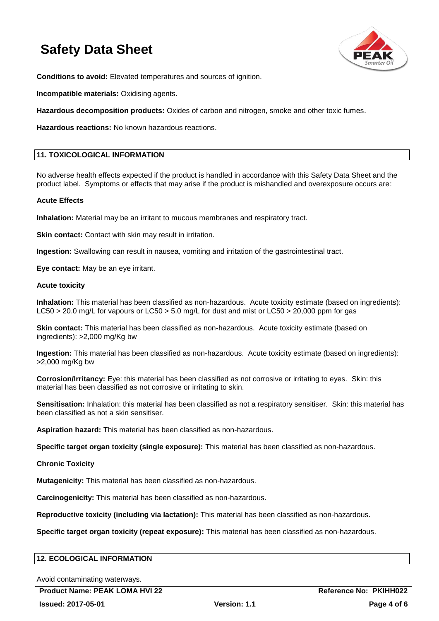

**Conditions to avoid:** Elevated temperatures and sources of ignition.

**Incompatible materials:** Oxidising agents.

**Hazardous decomposition products:** Oxides of carbon and nitrogen, smoke and other toxic fumes.

**Hazardous reactions:** No known hazardous reactions.

#### **11. TOXICOLOGICAL INFORMATION**

No adverse health effects expected if the product is handled in accordance with this Safety Data Sheet and the product label. Symptoms or effects that may arise if the product is mishandled and overexposure occurs are:

#### **Acute Effects**

**Inhalation:** Material may be an irritant to mucous membranes and respiratory tract.

**Skin contact:** Contact with skin may result in irritation.

**Ingestion:** Swallowing can result in nausea, vomiting and irritation of the gastrointestinal tract.

**Eye contact:** May be an eye irritant.

#### **Acute toxicity**

**Inhalation:** This material has been classified as non-hazardous. Acute toxicity estimate (based on ingredients): LC50 > 20.0 mg/L for vapours or LC50 > 5.0 mg/L for dust and mist or LC50 > 20,000 ppm for gas

**Skin contact:** This material has been classified as non-hazardous. Acute toxicity estimate (based on ingredients): >2,000 mg/Kg bw

**Ingestion:** This material has been classified as non-hazardous. Acute toxicity estimate (based on ingredients): >2,000 mg/Kg bw

**Corrosion/Irritancy:** Eye: this material has been classified as not corrosive or irritating to eyes. Skin: this material has been classified as not corrosive or irritating to skin.

**Sensitisation:** Inhalation: this material has been classified as not a respiratory sensitiser. Skin: this material has been classified as not a skin sensitiser.

**Aspiration hazard:** This material has been classified as non-hazardous.

**Specific target organ toxicity (single exposure):** This material has been classified as non-hazardous.

**Chronic Toxicity**

**Mutagenicity:** This material has been classified as non-hazardous.

**Carcinogenicity:** This material has been classified as non-hazardous.

**Reproductive toxicity (including via lactation):** This material has been classified as non-hazardous.

**Specific target organ toxicity (repeat exposure):** This material has been classified as non-hazardous.

| <b>12. ECOLOGICAL INFORMATION</b> |
|-----------------------------------|
|-----------------------------------|

Avoid contaminating waterways.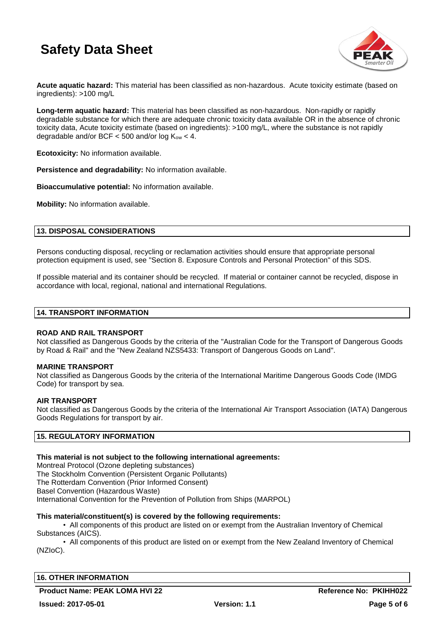

**Acute aquatic hazard:** This material has been classified as non-hazardous. Acute toxicity estimate (based on ingredients): >100 mg/L

**Long-term aquatic hazard:** This material has been classified as non-hazardous. Non-rapidly or rapidly degradable substance for which there are adequate chronic toxicity data available OR in the absence of chronic toxicity data, Acute toxicity estimate (based on ingredients): >100 mg/L, where the substance is not rapidly degradable and/or BCF  $<$  500 and/or log  $K_{ow}$   $<$  4.

**Ecotoxicity:** No information available.

**Persistence and degradability:** No information available.

**Bioaccumulative potential:** No information available.

**Mobility:** No information available.

#### **13. DISPOSAL CONSIDERATIONS**

Persons conducting disposal, recycling or reclamation activities should ensure that appropriate personal protection equipment is used, see "Section 8. Exposure Controls and Personal Protection" of this SDS.

If possible material and its container should be recycled. If material or container cannot be recycled, dispose in accordance with local, regional, national and international Regulations.

#### **14. TRANSPORT INFORMATION**

#### **ROAD AND RAIL TRANSPORT**

Not classified as Dangerous Goods by the criteria of the "Australian Code for the Transport of Dangerous Goods by Road & Rail" and the "New Zealand NZS5433: Transport of Dangerous Goods on Land".

#### **MARINE TRANSPORT**

Not classified as Dangerous Goods by the criteria of the International Maritime Dangerous Goods Code (IMDG Code) for transport by sea.

#### **AIR TRANSPORT**

Not classified as Dangerous Goods by the criteria of the International Air Transport Association (IATA) Dangerous Goods Regulations for transport by air.

#### **15. REGULATORY INFORMATION**

#### **This material is not subject to the following international agreements:**

Montreal Protocol (Ozone depleting substances) The Stockholm Convention (Persistent Organic Pollutants) The Rotterdam Convention (Prior Informed Consent) Basel Convention (Hazardous Waste) International Convention for the Prevention of Pollution from Ships (MARPOL)

#### **This material/constituent(s) is covered by the following requirements:**

• All components of this product are listed on or exempt from the Australian Inventory of Chemical Substances (AICS).

• All components of this product are listed on or exempt from the New Zealand Inventory of Chemical (NZIoC).

#### **16. OTHER INFORMATION**

Product Name: PEAK LOMA HVI 22 **Reference No: PKIHH022**